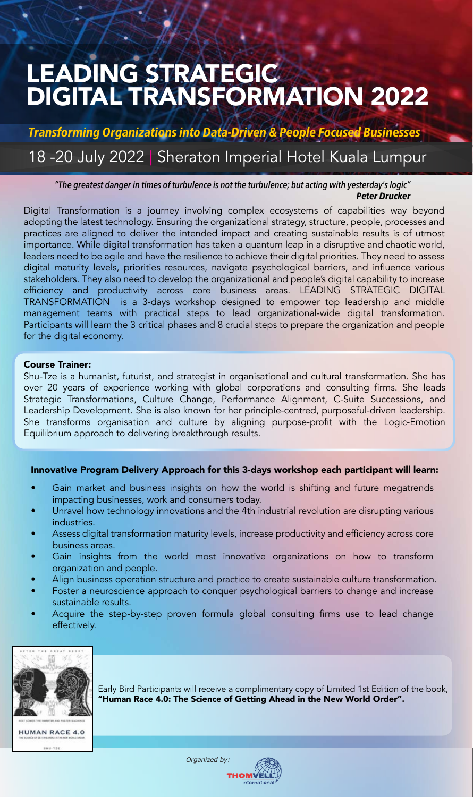# LEADING STRATEGIC DIGITAL TRANSFORMATION 2022

Transforming Organizations into Data-Driven & People Focused Businesses

## 18 -20 July 2022 | Sheraton Imperial Hotel Kuala Lumpur

"The greatest danger in times of turbulence is not the turbulence; but acting with yesterday's logic" Peter Drucker

Digital Transformation is a journey involving complex ecosystems of capabilities way beyond adopting the latest technology. Ensuring the organizational strategy, structure, people, processes and practices are aligned to deliver the intended impact and creating sustainable results is of utmost importance. While digital transformation has taken a quantum leap in a disruptive and chaotic world, leaders need to be agile and have the resilience to achieve their digital priorities. They need to assess digital maturity levels, priorities resources, navigate psychological barriers, and influence various stakeholders. They also need to develop the organizational and people's digital capability to increase efficiency and productivity across core business areas. LEADING STRATEGIC DIGITAL TRANSFORMATION is a 3-days workshop designed to empower top leadership and middle management teams with practical steps to lead organizational-wide digital transformation. Participants will learn the 3 critical phases and 8 crucial steps to prepare the organization and people for the digital economy.

#### Course Trainer:

Shu-Tze is a humanist, futurist, and strategist in organisational and cultural transformation. She has over 20 years of experience working with global corporations and consulting firms. She leads Strategic Transformations, Culture Change, Performance Alignment, C-Suite Successions, and Leadership Development. She is also known for her principle-centred, purposeful-driven leadership. She transforms organisation and culture by aligning purpose-profit with the Logic-Emotion Equilibrium approach to delivering breakthrough results.

### Innovative Program Delivery Approach for this 3-days workshop each participant will learn:

- Gain market and business insights on how the world is shifting and future megatrends impacting businesses, work and consumers today.
- Unravel how technology innovations and the 4th industrial revolution are disrupting various industries.
- Assess digital transformation maturity levels, increase productivity and efficiency across core business areas.
- Gain insights from the world most innovative organizations on how to transform organization and people.
- Align business operation structure and practice to create sustainable culture transformation.
- Foster a neuroscience approach to conquer psychological barriers to change and increase sustainable results.
- Acquire the step-by-step proven formula global consulting firms use to lead change effectively.



Early Bird Participants will receive a complimentary copy of Limited 1st Edition of the book, "Human Race 4.0: The Science of Getting Ahead in the New World Order".

*Organized by:*